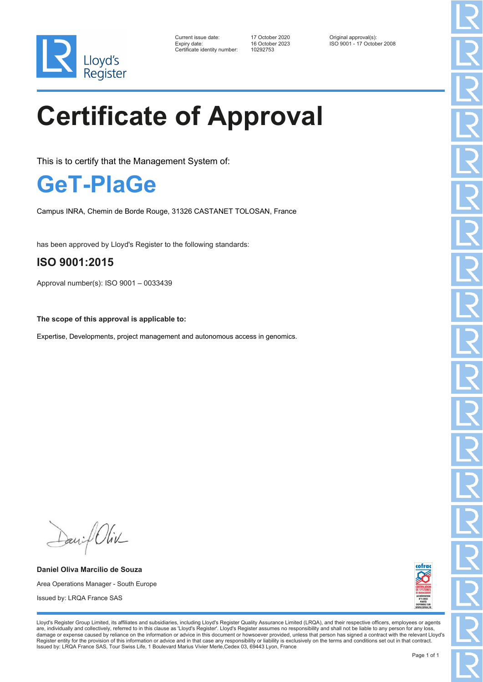

| Current issue date:          | 17 October 2020 | Original approval(s):      |
|------------------------------|-----------------|----------------------------|
| Expiry date:                 | 16 October 2023 | ISO 9001 - 17 October 2008 |
| Certificate identity number: | 10292753        |                            |

# **Certificate of Approval**

This is to certify that the Management System of:

### **GeT-PlaGe**

Campus INRA, Chemin de Borde Rouge, 31326 CASTANET TOLOSAN, France

has been approved by Lloyd's Register to the following standards:

#### **ISO 9001:2015**

Approval number(s): ISO 9001 – 0033439

**The scope of this approval is applicable to:**

Expertise, Developments, project management and autonomous access in genomics.

Davif Oliv

**Daniel Oliva Marcilio de Souza** Area Operations Manager - South Europe Issued by: LRQA France SAS



Lloyd's Register Group Limited, its affiliates and subsidiaries, including Lloyd's Register Quality Assurance Limited (LRQA), and their respective officers, employees or agents are, individually and collectively, referred to in this clause as 'Lloyd's Register'. Lloyd's Register assumes no responsibility and shall not be liable to any person for any loss,<br>damage or expense caused by reliance on t Register entity for the provision of this information or advice and in that case any responsibility or liability is exclusively on the terms and conditions set out in that contract. Issued by: LRQA France SAS, Tour Swiss Life, 1 Boulevard Marius Vivier Merle,Cedex 03, 69443 Lyon, France